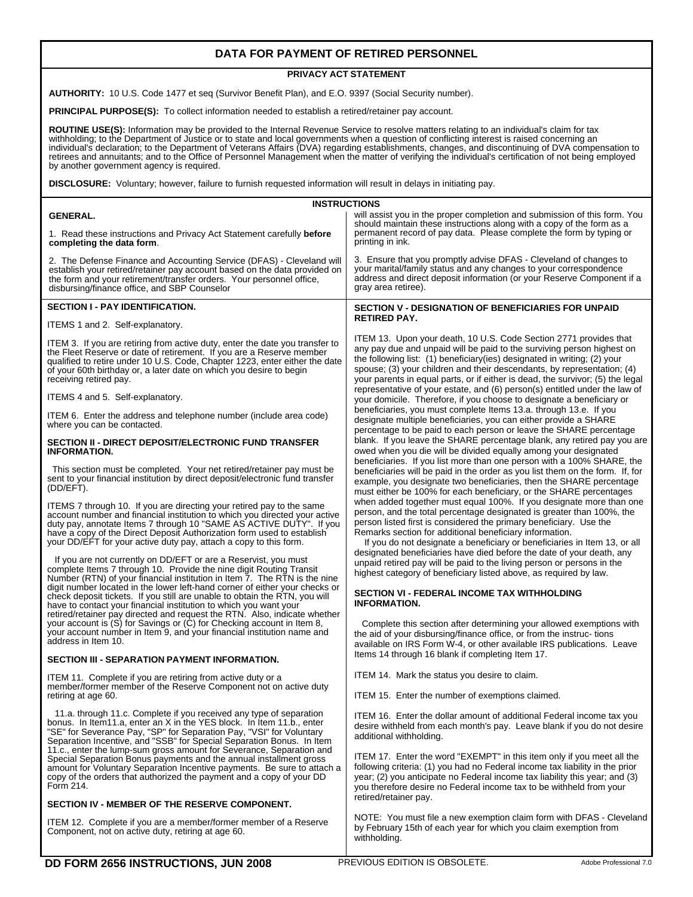# **DATA FOR PAYMENT OF RETIRED PERSONNEL**

# **PRIVACY ACT STATEMENT**

**AUTHORITY:** 10 U.S. Code 1477 et seq (Survivor Benefit Plan), and E.O. 9397 (Social Security number).

**PRINCIPAL PURPOSE(S):** To collect information needed to establish a retired/retainer pay account.

ROUTINE USE(S): Information may be provided to the Internal Revenue Service to resolve matters relating to an individual's claim for tax<br>withholding; to the Department of Justice or to state and local governments when a qu by another government agency is required.

**DISCLOSURE:** Voluntary; however, failure to furnish requested information will result in delays in initiating pay.

| <b>INSTRUCTIONS</b>                                                                                                                                                                                                                                                                                                                                                       |                                                                                                                                                                                                                                                                                                                                                                                       |  |  |  |  |  |  |  |
|---------------------------------------------------------------------------------------------------------------------------------------------------------------------------------------------------------------------------------------------------------------------------------------------------------------------------------------------------------------------------|---------------------------------------------------------------------------------------------------------------------------------------------------------------------------------------------------------------------------------------------------------------------------------------------------------------------------------------------------------------------------------------|--|--|--|--|--|--|--|
| <b>GENERAL.</b>                                                                                                                                                                                                                                                                                                                                                           | will assist you in the proper completion and submission of this form. You                                                                                                                                                                                                                                                                                                             |  |  |  |  |  |  |  |
| 1. Read these instructions and Privacy Act Statement carefully before<br>completing the data form.                                                                                                                                                                                                                                                                        | should maintain these instructions along with a copy of the form as a<br>permanent record of pay data. Please complete the form by typing or<br>printing in ink.                                                                                                                                                                                                                      |  |  |  |  |  |  |  |
| 2. The Defense Finance and Accounting Service (DFAS) - Cleveland will<br>establish your retired/retainer pay account based on the data provided on<br>the form and your retirement/transfer orders. Your personnel office,<br>disbursing/finance office, and SBP Counselor                                                                                                | 3. Ensure that you promptly advise DFAS - Cleveland of changes to<br>your marital/family status and any changes to your correspondence<br>address and direct deposit information (or your Reserve Component if a<br>gray area retiree).                                                                                                                                               |  |  |  |  |  |  |  |
| <b>SECTION I - PAY IDENTIFICATION.</b>                                                                                                                                                                                                                                                                                                                                    | <b>SECTION V - DESIGNATION OF BENEFICIARIES FOR UNPAID</b>                                                                                                                                                                                                                                                                                                                            |  |  |  |  |  |  |  |
| ITEMS 1 and 2. Self-explanatory.                                                                                                                                                                                                                                                                                                                                          | <b>RETIRED PAY.</b>                                                                                                                                                                                                                                                                                                                                                                   |  |  |  |  |  |  |  |
| ITEM 3. If you are retiring from active duty, enter the date you transfer to<br>the Fleet Reserve or date of retirement. If you are a Reserve member<br>qualified to retire under 10 U.S. Code, Chapter 1223, enter either the date<br>of your 60th birthday or, a later date on which you desire to begin<br>receiving retired pay.                                      | ITEM 13. Upon your death, 10 U.S. Code Section 2771 provides that<br>any pay due and unpaid will be paid to the surviving person highest on<br>the following list: (1) beneficiary (ies) designated in writing; (2) your<br>spouse; (3) your children and their descendants, by representation; (4)<br>your parents in equal parts, or if either is dead, the survivor; (5) the legal |  |  |  |  |  |  |  |
| ITEMS 4 and 5. Self-explanatory.                                                                                                                                                                                                                                                                                                                                          | representative of your estate, and (6) person(s) entitled under the law of<br>your domicile. Therefore, if you choose to designate a beneficiary or                                                                                                                                                                                                                                   |  |  |  |  |  |  |  |
| ITEM 6. Enter the address and telephone number (include area code)<br>where you can be contacted.                                                                                                                                                                                                                                                                         | beneficiaries, you must complete Items 13.a. through 13.e. If you<br>designate multiple beneficiaries, you can either provide a SHARE<br>percentage to be paid to each person or leave the SHARE percentage                                                                                                                                                                           |  |  |  |  |  |  |  |
| <b>SECTION II - DIRECT DEPOSIT/ELECTRONIC FUND TRANSFER</b><br><b>INFORMATION.</b>                                                                                                                                                                                                                                                                                        | blank. If you leave the SHARE percentage blank, any retired pay you are<br>owed when you die will be divided equally among your designated<br>beneficiaries. If you list more than one person with a 100% SHARE, the                                                                                                                                                                  |  |  |  |  |  |  |  |
| This section must be completed. Your net retired/retainer pay must be<br>sent to your financial institution by direct deposit/electronic fund transfer<br>(DD/EFT).                                                                                                                                                                                                       | beneficiaries will be paid in the order as you list them on the form. If, for<br>example, you designate two beneficiaries, then the SHARE percentage<br>must either be 100% for each beneficiary, or the SHARE percentages                                                                                                                                                            |  |  |  |  |  |  |  |
| ITEMS 7 through 10. If you are directing your retired pay to the same<br>account number and financial institution to which you directed your active<br>duty pay, annotate Items 7 through 10 "SAME AS ACTIVE DUTY". If you<br>have a copy of the Direct Deposit Authorization form used to establish<br>your DD/EFT for your active duty pay, attach a copy to this form. | when added together must equal 100%. If you designate more than one<br>person, and the total percentage designated is greater than 100%, the<br>person listed first is considered the primary beneficiary. Use the<br>Remarks section for additional beneficiary information.<br>If you do not designate a beneficiary or beneficiaries in Item 13, or all                            |  |  |  |  |  |  |  |
| If you are not currently on DD/EFT or are a Reservist, you must<br>complete Items 7 through 10. Provide the nine digit Routing Transit<br>Number (RTN) of your financial institution in Item 7. The RTN is the nine<br>digit number located in the lower left-hand corner of either your checks or                                                                        | designated beneficiaries have died before the date of your death, any<br>unpaid retired pay will be paid to the living person or persons in the<br>highest category of beneficiary listed above, as required by law.                                                                                                                                                                  |  |  |  |  |  |  |  |
| check deposit tickets. If you still are unable to obtain the RTN, you will<br>have to contact your financial institution to which you want your<br>retired/retainer pay directed and request the RTN. Also, indicate whether                                                                                                                                              | <b>SECTION VI - FEDERAL INCOME TAX WITHHOLDING</b><br><b>INFORMATION.</b>                                                                                                                                                                                                                                                                                                             |  |  |  |  |  |  |  |
| your account is $(S)$ for Savings or $(C)$ for Checking account in Item 8,<br>your account number in Item 9, and your financial institution name and<br>address in Item 10.                                                                                                                                                                                               | Complete this section after determining your allowed exemptions with<br>the aid of your disbursing/finance office, or from the instruc-tions<br>available on IRS Form W-4, or other available IRS publications. Leave                                                                                                                                                                 |  |  |  |  |  |  |  |
| SECTION III - SEPARATION PAYMENT INFORMATION.                                                                                                                                                                                                                                                                                                                             | Items 14 through 16 blank if completing Item 17.                                                                                                                                                                                                                                                                                                                                      |  |  |  |  |  |  |  |
| ITEM 11. Complete if you are retiring from active duty or a<br>member/former member of the Reserve Component not on active duty<br>retiring at age 60.                                                                                                                                                                                                                    | ITEM 14. Mark the status you desire to claim.<br>ITEM 15. Enter the number of exemptions claimed.                                                                                                                                                                                                                                                                                     |  |  |  |  |  |  |  |
|                                                                                                                                                                                                                                                                                                                                                                           |                                                                                                                                                                                                                                                                                                                                                                                       |  |  |  |  |  |  |  |
| 11.a. through 11.c. Complete if you received any type of separation<br>bonus. In Item11.a, enter an X in the YES block. In Item 11.b., enter<br>"SE" for Severance Pay, "SP" for Separation Pay, "VSI" for Voluntary<br>Separation Incentive, and "SSB" for Special Separation Bonus. In Item                                                                             | <b>ITEM 16.</b> Enter the dollar amount of additional Federal income tax you<br>desire withheld from each month's pay. Leave blank if you do not desire<br>additional withholding.                                                                                                                                                                                                    |  |  |  |  |  |  |  |
| 11.c., enter the lump-sum gross amount for Severance, Separation and<br>Special Separation Bonus payments and the annual installment gross<br>amount for Voluntary Separation Incentive payments. Be sure to attach a<br>copy of the orders that authorized the payment and a copy of your DD<br>Form 214.                                                                | ITEM 17. Enter the word "EXEMPT" in this item only if you meet all the<br>following criteria: (1) you had no Federal income tax liability in the prior<br>year; (2) you anticipate no Federal income tax liability this year; and (3)<br>you therefore desire no Federal income tax to be withheld from your<br>retired/retainer pay.                                                 |  |  |  |  |  |  |  |
| SECTION IV - MEMBER OF THE RESERVE COMPONENT.                                                                                                                                                                                                                                                                                                                             |                                                                                                                                                                                                                                                                                                                                                                                       |  |  |  |  |  |  |  |
| ITEM 12. Complete if you are a member/former member of a Reserve<br>Component, not on active duty, retiring at age 60.                                                                                                                                                                                                                                                    | NOTE: You must file a new exemption claim form with DFAS - Cleveland<br>by February 15th of each year for which you claim exemption from<br>withholding.                                                                                                                                                                                                                              |  |  |  |  |  |  |  |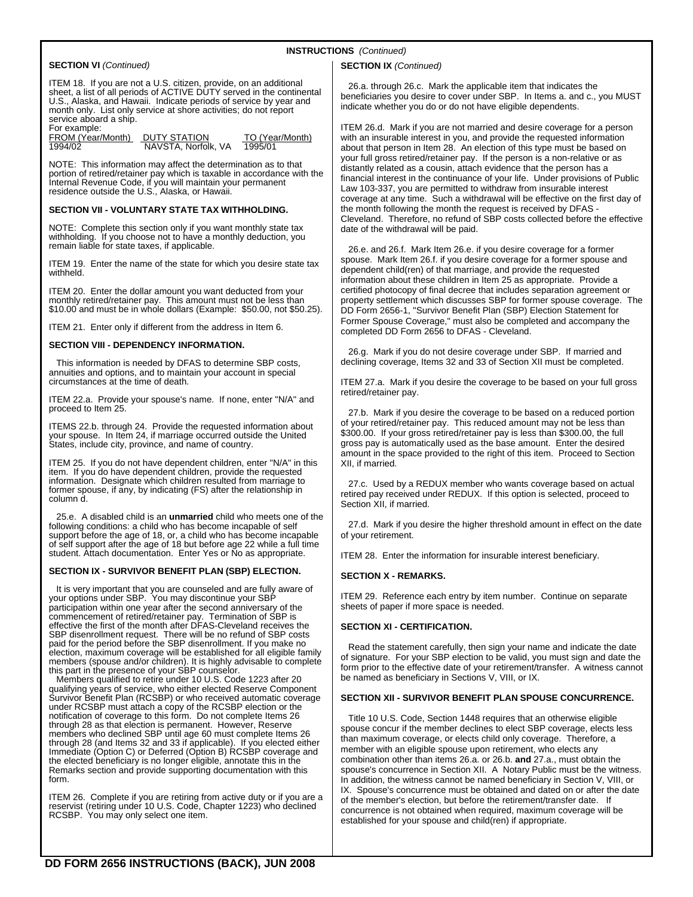# **INSTRUCTIONS** *(Continued)*

## **SECTION VI** *(Continued)*

ITEM 18. If you are not a U.S. citizen, provide, on an additional sheet, a list of all periods of ACTIVE DUTY served in the continental U.S., Alaska, and Hawaii. Indicate periods of service by year and month only. List only service at shore activities; do not report service aboard a ship.

For example:

FROM (Year/Month) DUTY STATION TO (Year/Month) 1994/02 NAVSTA, Norfolk, VA 1995/01

NOTE: This information may affect the determination as to that portion of retired/retainer pay which is taxable in accordance with the Internal Revenue Code, if you will maintain your permanent residence outside the U.S., Alaska, or Hawaii.

#### **SECTION VII - VOLUNTARY STATE TAX WITHHOLDING.**

NOTE: Complete this section only if you want monthly state tax withholding. If you choose not to have a monthly deduction, you remain liable for state taxes, if applicable.

ITEM 19. Enter the name of the state for which you desire state tax withheld.

ITEM 20. Enter the dollar amount you want deducted from your monthly retired/retainer pay. This amount must not be less than \$10.00 and must be in whole dollars (Example: \$50.00, not \$50.25).

ITEM 21. Enter only if different from the address in Item 6.

#### **SECTION VIII - DEPENDENCY INFORMATION.**

 This information is needed by DFAS to determine SBP costs, annuities and options, and to maintain your account in special circumstances at the time of death.

ITEM 22.a. Provide your spouse's name. If none, enter "N/A" and proceed to Item 25.

ITEMS 22.b. through 24. Provide the requested information about your spouse. In Item 24, if marriage occurred outside the United States, include city, province, and name of country.

ITEM 25. If you do not have dependent children, enter "N/A" in this item. If you do have dependent children, provide the requested information. Designate which children resulted from marriage to former spouse, if any, by indicating (FS) after the relationship in column d.

 25.e. A disabled child is an **unmarried** child who meets one of the following conditions: a child who has become incapable of self support before the age of 18, or, a child who has become incapable of self support after the age of 18 but before age 22 while a full time student. Attach documentation. Enter Yes or No as appropriate.

#### **SECTION IX - SURVIVOR BENEFIT PLAN (SBP) ELECTION.**

 It is very important that you are counseled and are fully aware of your options under SBP. You may discontinue your SBP participation within one year after the second anniversary of the commencement of retired/retainer pay. Termination of SBP is effective the first of the month after DFAS-Cleveland receives the SBP disenrollment request. There will be no refund of SBP costs paid for the period before the SBP disenrollment. If you make no election, maximum coverage will be established for all eligible family members (spouse and/or children). It is highly advisable to complete this part in the presence of your SBP counselor.

 Members qualified to retire under 10 U.S. Code 1223 after 20 qualifying years of service, who either elected Reserve Component Survivor Benefit Plan (RCSBP) or who received automatic coverage under RCSBP must attach a copy of the RCSBP election or the notification of coverage to this form. Do not complete Items 26 through 28 as that election is permanent. However, Reserve<br>members who declined SBP until age 60 must complete Items 26<br>through 28 (and Items 32 and 33 if applicable). If you elected either<br>Immediate (Option C) or Deferred the elected beneficiary is no longer eligible, annotate this in the Remarks section and provide supporting documentation with this form.

ITEM 26. Complete if you are retiring from active duty or if you are a reservist (retiring under 10 U.S. Code, Chapter 1223) who declined RCSBP. You may only select one item.

#### **SECTION IX** *(Continued)*

 26.a. through 26.c. Mark the applicable item that indicates the beneficiaries you desire to cover under SBP. In Items a. and c., you MUST indicate whether you do or do not have eligible dependents.

ITEM 26.d. Mark if you are not married and desire coverage for a person with an insurable interest in you, and provide the requested information about that person in Item 28. An election of this type must be based on your full gross retired/retainer pay. If the person is a non-relative or as distantly related as a cousin, attach evidence that the person has a financial interest in the continuance of your life. Under provisions of Public Law 103-337, you are permitted to withdraw from insurable interest coverage at any time. Such a withdrawal will be effective on the first day of the month following the month the request is received by DFAS - Cleveland. Therefore, no refund of SBP costs collected before the effective date of the withdrawal will be paid.

 26.e. and 26.f. Mark Item 26.e. if you desire coverage for a former spouse. Mark Item 26.f. if you desire coverage for a former spouse and dependent child(ren) of that marriage, and provide the requested information about these children in Item 25 as appropriate. Provide a certified photocopy of final decree that includes separation agreement or property settlement which discusses SBP for former spouse coverage. The DD Form 2656-1, "Survivor Benefit Plan (SBP) Election Statement for Former Spouse Coverage," must also be completed and accompany the completed DD Form 2656 to DFAS - Cleveland.

 26.g. Mark if you do not desire coverage under SBP. If married and declining coverage, Items 32 and 33 of Section XII must be completed.

ITEM 27.a. Mark if you desire the coverage to be based on your full gross retired/retainer pay.

 27.b. Mark if you desire the coverage to be based on a reduced portion of your retired/retainer pay. This reduced amount may not be less than \$300.00. If your gross retired/retainer pay is less than \$300.00, the full gross pay is automatically used as the base amount. Enter the desired amount in the space provided to the right of this item. Proceed to Section XII, if married.

 27.c. Used by a REDUX member who wants coverage based on actual retired pay received under REDUX. If this option is selected, proceed to Section XII, if married.

 27.d. Mark if you desire the higher threshold amount in effect on the date of your retirement.

ITEM 28. Enter the information for insurable interest beneficiary.

## **SECTION X - REMARKS.**

ITEM 29. Reference each entry by item number. Continue on separate sheets of paper if more space is needed.

## **SECTION XI - CERTIFICATION.**

 Read the statement carefully, then sign your name and indicate the date of signature. For your SBP election to be valid, you must sign and date the form prior to the effective date of your retirement/transfer. A witness cannot be named as beneficiary in Sections V, VIII, or IX.

# **SECTION XII - SURVIVOR BENEFIT PLAN SPOUSE CONCURRENCE.**

 Title 10 U.S. Code, Section 1448 requires that an otherwise eligible spouse concur if the member declines to elect SBP coverage, elects less than maximum coverage, or elects child only coverage. Therefore, a member with an eligible spouse upon retirement, who elects any combination other than items 26.a. or 26.b. **and** 27.a., must obtain the spouse's concurrence in Section XII. A Notary Public must be the witness. In addition, the witness cannot be named beneficiary in Section V, VIII, or IX. Spouse's concurrence must be obtained and dated on or after the date of the member's election, but before the retirement/transfer date. If concurrence is not obtained when required, maximum coverage will be established for your spouse and child(ren) if appropriate.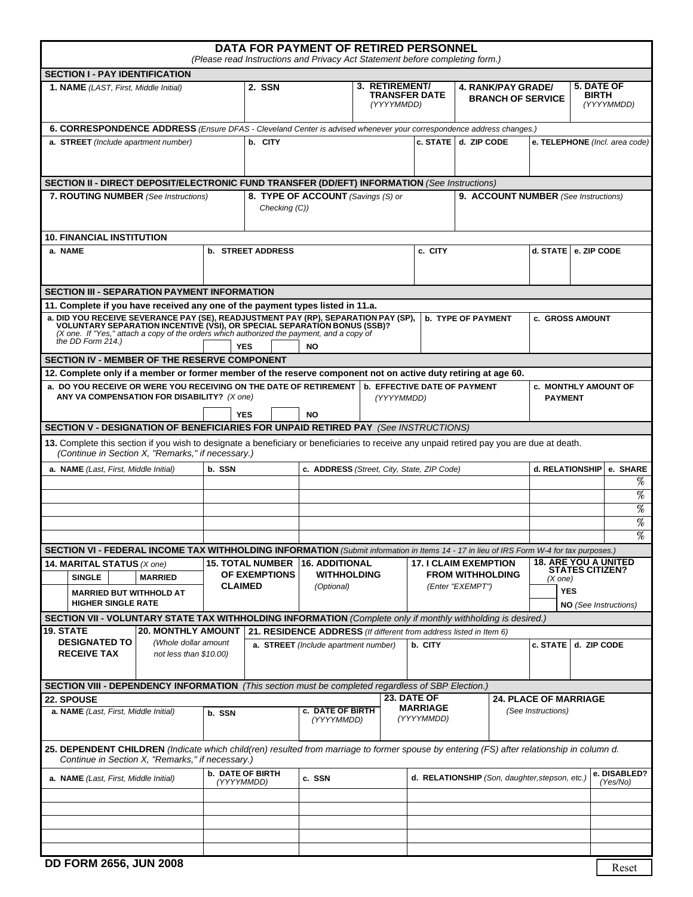| DATA FOR PAYMENT OF RETIRED PERSONNEL<br>(Please read Instructions and Privacy Act Statement before completing form.)                                                                                                                                                                                                                                           |                                                |                                                                    |                                                           |                               |                                                                             |                                               |                                                                                                         |                                                                                                                                   |
|-----------------------------------------------------------------------------------------------------------------------------------------------------------------------------------------------------------------------------------------------------------------------------------------------------------------------------------------------------------------|------------------------------------------------|--------------------------------------------------------------------|-----------------------------------------------------------|-------------------------------|-----------------------------------------------------------------------------|-----------------------------------------------|---------------------------------------------------------------------------------------------------------|-----------------------------------------------------------------------------------------------------------------------------------|
| <b>SECTION I - PAY IDENTIFICATION</b>                                                                                                                                                                                                                                                                                                                           |                                                |                                                                    |                                                           |                               |                                                                             |                                               |                                                                                                         |                                                                                                                                   |
| <b>1. NAME</b> (LAST, First, Middle Initial)                                                                                                                                                                                                                                                                                                                    |                                                | 2. SSN                                                             | 3. RETIREMENT/<br><b>TRANSFER DATE</b><br>(YYYYMMDD)      |                               | <b>4. RANK/PAY GRADE/</b><br><b>BRANCH OF SERVICE</b>                       |                                               | 5. DATE OF<br><b>BIRTH</b>                                                                              | (YYYYMMDD)                                                                                                                        |
| 6. CORRESPONDENCE ADDRESS (Ensure DFAS - Cleveland Center is advised whenever your correspondence address changes.)                                                                                                                                                                                                                                             |                                                |                                                                    |                                                           |                               |                                                                             |                                               |                                                                                                         |                                                                                                                                   |
| a. STREET (Include apartment number)                                                                                                                                                                                                                                                                                                                            |                                                | b. CITY                                                            |                                                           |                               | c. STATE d. ZIP CODE                                                        |                                               |                                                                                                         | e. TELEPHONE (Incl. area code)                                                                                                    |
| <b>SECTION II - DIRECT DEPOSIT/ELECTRONIC FUND TRANSFER (DD/EFT) INFORMATION (See Instructions)</b><br>8. TYPE OF ACCOUNT (Savings (S) or<br>7. ROUTING NUMBER (See Instructions)<br>9. ACCOUNT NUMBER (See Instructions)<br>Checking (C))                                                                                                                      |                                                |                                                                    |                                                           |                               |                                                                             |                                               |                                                                                                         |                                                                                                                                   |
| <b>10. FINANCIAL INSTITUTION</b>                                                                                                                                                                                                                                                                                                                                |                                                |                                                                    |                                                           |                               |                                                                             |                                               |                                                                                                         |                                                                                                                                   |
| a. NAME                                                                                                                                                                                                                                                                                                                                                         | <b>b. STREET ADDRESS</b>                       |                                                                    |                                                           | c. CITY                       |                                                                             | d. STATE   e. ZIP CODE                        |                                                                                                         |                                                                                                                                   |
| <b>SECTION III - SEPARATION PAYMENT INFORMATION</b>                                                                                                                                                                                                                                                                                                             |                                                |                                                                    |                                                           |                               |                                                                             |                                               |                                                                                                         |                                                                                                                                   |
| 11. Complete if you have received any one of the payment types listed in 11.a.<br>a. DID YOU RECEIVE SEVERANCE PAY (SE), READJUSTMENT PAY (RP), SEPARATION PAY (SP), VOLUNTARY SEPARATION INCENTIVE (VSI), OR SPECIAL SEPARATION BONUS (SSB)?<br>(X one. If "Yes," attach a copy of the orders which authorized the payment, and a copy of<br>the DD Form 214.) | <b>YES</b>                                     | <b>NO</b>                                                          |                                                           |                               | <b>b. TYPE OF PAYMENT</b>                                                   | c. GROSS AMOUNT                               |                                                                                                         |                                                                                                                                   |
| SECTION IV - MEMBER OF THE RESERVE COMPONENT                                                                                                                                                                                                                                                                                                                    |                                                |                                                                    |                                                           |                               |                                                                             |                                               |                                                                                                         |                                                                                                                                   |
| 12. Complete only if a member or former member of the reserve component not on active duty retiring at age 60.<br>a. DO YOU RECEIVE OR WERE YOU RECEIVING ON THE DATE OF RETIREMENT   b. EFFECTIVE DATE OF PAYMENT<br>ANY VA COMPENSATION FOR DISABILITY? (X one)                                                                                               | <b>YES</b>                                     | <b>NO</b>                                                          | (YYYYMMDD)                                                |                               |                                                                             | <b>c. MONTHLY AMOUNT OF</b><br><b>PAYMENT</b> |                                                                                                         |                                                                                                                                   |
| SECTION V - DESIGNATION OF BENEFICIARIES FOR UNPAID RETIRED PAY (See INSTRUCTIONS)                                                                                                                                                                                                                                                                              |                                                |                                                                    |                                                           |                               |                                                                             |                                               |                                                                                                         |                                                                                                                                   |
| 13. Complete this section if you wish to designate a beneficiary or beneficiaries to receive any unpaid retired pay you are due at death.<br>(Continue in Section X, "Remarks," if necessary.)                                                                                                                                                                  |                                                |                                                                    |                                                           |                               |                                                                             |                                               |                                                                                                         |                                                                                                                                   |
| a. NAME (Last, First, Middle Initial)                                                                                                                                                                                                                                                                                                                           | b. SSN                                         |                                                                    | c. ADDRESS (Street, City, State, ZIP Code)                |                               |                                                                             | d. RELATIONSHIP                               |                                                                                                         | e. SHARE<br>$% \mathcal{P}_{\mathrm{c}}\left( \mathcal{P}_{\mathrm{c}}\right) =\left( \mathcal{P}_{\mathrm{c}}\right) ^{\prime }$ |
|                                                                                                                                                                                                                                                                                                                                                                 |                                                |                                                                    |                                                           |                               |                                                                             |                                               |                                                                                                         | %<br>%                                                                                                                            |
|                                                                                                                                                                                                                                                                                                                                                                 |                                                |                                                                    |                                                           |                               |                                                                             |                                               |                                                                                                         | %<br>%                                                                                                                            |
|                                                                                                                                                                                                                                                                                                                                                                 |                                                |                                                                    |                                                           |                               |                                                                             |                                               |                                                                                                         |                                                                                                                                   |
| SECTION VI - FEDERAL INCOME TAX WITHHOLDING INFORMATION (Submit information in Items 14 - 17 in lieu of IRS Form W-4 for tax purposes.)<br><b>15. TOTAL NUMBER</b><br>14. MARITAL STATUS (X one)<br>OF EXEMPTIONS<br><b>SINGLE</b><br><b>MARRIED</b><br><b>CLAIMED</b><br><b>MARRIED BUT WITHHOLD AT</b><br><b>HIGHER SINGLE RATE</b>                           |                                                |                                                                    | <b>16. ADDITIONAL</b><br><b>WITHHOLDING</b><br>(Optional) |                               | <b>17. I CLAIM EXEMPTION</b><br><b>FROM WITHHOLDING</b><br>(Enter "EXEMPT") |                                               | <b>18. ARE YOU A UNITED</b><br><b>STATES CITIZEN?</b><br>(X one)<br><b>YES</b><br>NO (See Instructions) |                                                                                                                                   |
| SECTION VII - VOLUNTARY STATE TAX WITHHOLDING INFORMATION (Complete only if monthly withholding is desired.)                                                                                                                                                                                                                                                    |                                                |                                                                    |                                                           |                               |                                                                             |                                               |                                                                                                         |                                                                                                                                   |
| <b>19. STATE</b>                                                                                                                                                                                                                                                                                                                                                | <b>20. MONTHLY AMOUNT</b>                      | 21. RESIDENCE ADDRESS (If different from address listed in Item 6) |                                                           |                               |                                                                             |                                               |                                                                                                         |                                                                                                                                   |
| <b>DESIGNATED TO</b><br><b>RECEIVE TAX</b>                                                                                                                                                                                                                                                                                                                      | (Whole dollar amount<br>not less than \$10.00) | a. STREET (Include apartment number)                               |                                                           | b. CITY                       |                                                                             | c. STATE                                      | d. ZIP CODE                                                                                             |                                                                                                                                   |
| SECTION VIII - DEPENDENCY INFORMATION (This section must be completed regardless of SBP Election.)                                                                                                                                                                                                                                                              |                                                |                                                                    |                                                           |                               |                                                                             |                                               |                                                                                                         |                                                                                                                                   |
| 22. SPOUSE                                                                                                                                                                                                                                                                                                                                                      |                                                |                                                                    |                                                           | 23. DATE OF                   |                                                                             | <b>24. PLACE OF MARRIAGE</b>                  |                                                                                                         |                                                                                                                                   |
| a. NAME (Last, First, Middle Initial)                                                                                                                                                                                                                                                                                                                           | b. SSN                                         | c. DATE OF BIRTH<br>(YYYYMMDD)                                     |                                                           | <b>MARRIAGE</b><br>(YYYYMMDD) | (See Instructions)                                                          |                                               |                                                                                                         |                                                                                                                                   |
| 25. DEPENDENT CHILDREN (Indicate which child(ren) resulted from marriage to former spouse by entering (FS) after relationship in column d.<br>Continue in Section X, "Remarks," if necessary.)                                                                                                                                                                  |                                                |                                                                    |                                                           |                               |                                                                             |                                               |                                                                                                         |                                                                                                                                   |
| a. NAME (Last, First, Middle Initial)                                                                                                                                                                                                                                                                                                                           | <b>b. DATE OF BIRTH</b><br>(YYYYMMDD)          | c. SSN                                                             |                                                           |                               | d. RELATIONSHIP (Son, daughter, stepson, etc.)                              |                                               |                                                                                                         | e. DISABLED?<br>(Yes/No)                                                                                                          |
|                                                                                                                                                                                                                                                                                                                                                                 |                                                |                                                                    |                                                           |                               |                                                                             |                                               |                                                                                                         |                                                                                                                                   |
|                                                                                                                                                                                                                                                                                                                                                                 |                                                |                                                                    |                                                           |                               |                                                                             |                                               |                                                                                                         |                                                                                                                                   |
|                                                                                                                                                                                                                                                                                                                                                                 |                                                |                                                                    |                                                           |                               |                                                                             |                                               |                                                                                                         |                                                                                                                                   |